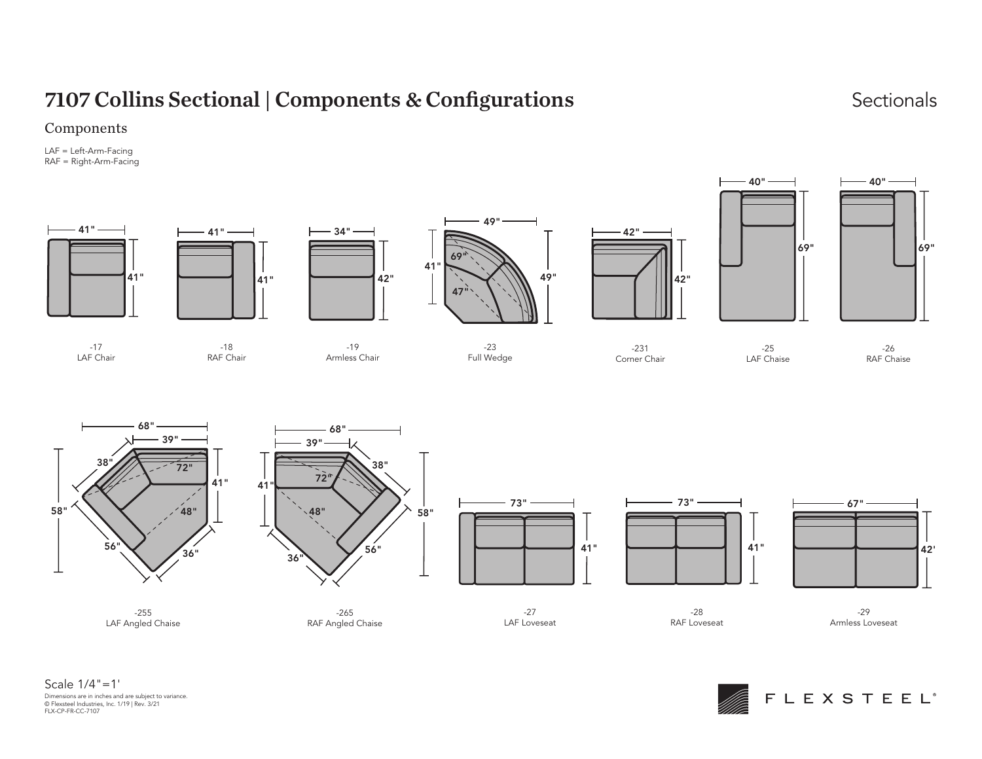# 7107 Collins Sectional | Components & Configurations Sectionals Sectionals

### Components

LAF = Left-Arm-Facing RAF = Right-Arm-Facing